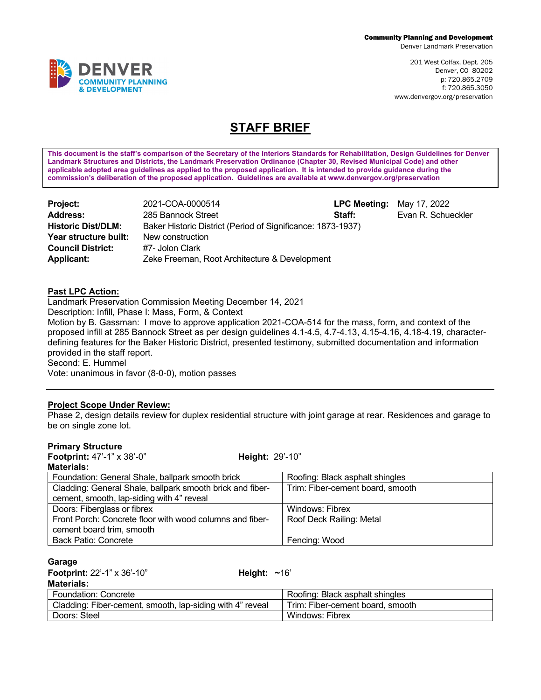Denver Landmark Preservation

201 West Colfax, Dept. 205 Denver, CO 80202 p: 720.865.2709 f: 720.865.3050 www.denvergov.org/preservation

# **STAFF BRIEF**

**This document is the staff's comparison of the Secretary of the Interiors Standards for Rehabilitation, Design Guidelines for Denver Landmark Structures and Districts, the Landmark Preservation Ordinance (Chapter 30, Revised Municipal Code) and other applicable adopted area guidelines as applied to the proposed application. It is intended to provide guidance during the commission's deliberation of the proposed application. Guidelines are available at www.denvergov.org/preservation**

| Project:                  | 2021-COA-0000514                                            | <b>LPC Meeting:</b> May 17, 2022 |                    |
|---------------------------|-------------------------------------------------------------|----------------------------------|--------------------|
| <b>Address:</b>           | 285 Bannock Street                                          | Staff:                           | Evan R. Schueckler |
| <b>Historic Dist/DLM:</b> | Baker Historic District (Period of Significance: 1873-1937) |                                  |                    |
| Year structure built:     | New construction                                            |                                  |                    |
| <b>Council District:</b>  | #7- Jolon Clark                                             |                                  |                    |
| <b>Applicant:</b>         | Zeke Freeman, Root Architecture & Development               |                                  |                    |

### **Past LPC Action:**

Landmark Preservation Commission Meeting December 14, 2021

Description: Infill, Phase I: Mass, Form, & Context

Motion by B. Gassman: I move to approve application 2021-COA-514 for the mass, form, and context of the proposed infill at 285 Bannock Street as per design guidelines 4.1-4.5, 4.7-4.13, 4.15-4.16, 4.18-4.19, characterdefining features for the Baker Historic District, presented testimony, submitted documentation and information provided in the staff report.

Second: E. Hummel

Vote: unanimous in favor (8-0-0), motion passes

#### **Project Scope Under Review:**

Phase 2, design details review for duplex residential structure with joint garage at rear. Residences and garage to be on single zone lot.

#### **Primary Structure**

| Footprint: 47'-1" x 38'-0"                                | <b>Height: 29'-10"</b>           |
|-----------------------------------------------------------|----------------------------------|
| <b>Materials:</b>                                         |                                  |
| Foundation: General Shale, ballpark smooth brick          | Roofing: Black asphalt shingles  |
| Cladding: General Shale, ballpark smooth brick and fiber- | Trim: Fiber-cement board, smooth |
| cement, smooth, lap-siding with 4" reveal                 |                                  |
| Doors: Fiberglass or fibrex                               | <b>Windows: Fibrex</b>           |
| Front Porch: Concrete floor with wood columns and fiber-  | Roof Deck Railing: Metal         |
| cement board trim, smooth                                 |                                  |
| <b>Back Patio: Concrete</b>                               | Fencing: Wood                    |

#### **Garage**

**Footprint:** 22'-1" x 36'-10" **Height: ~**16'

**Materials:**

| Foundation: Concrete                                      | Roofing: Black asphalt shingles  |
|-----------------------------------------------------------|----------------------------------|
| Cladding: Fiber-cement, smooth, lap-siding with 4" reveal | Trim: Fiber-cement board, smooth |
| Doors: Steel                                              | Windows: Fibrex                  |

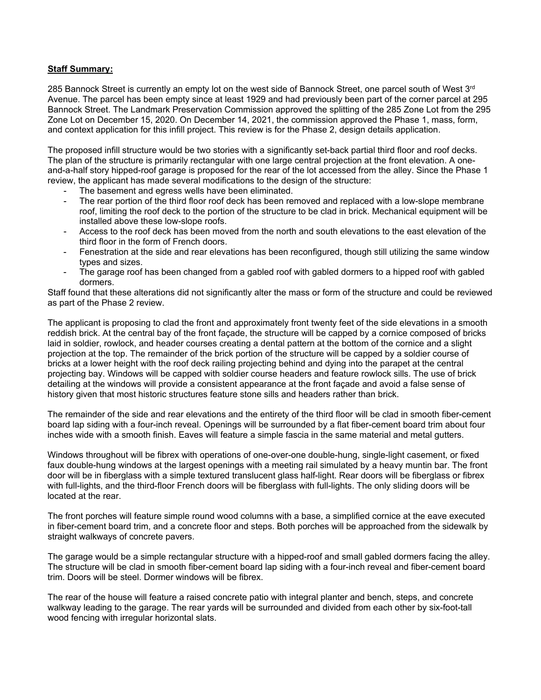#### **Staff Summary:**

285 Bannock Street is currently an empty lot on the west side of Bannock Street, one parcel south of West 3<sup>rd</sup> Avenue. The parcel has been empty since at least 1929 and had previously been part of the corner parcel at 295 Bannock Street. The Landmark Preservation Commission approved the splitting of the 285 Zone Lot from the 295 Zone Lot on December 15, 2020. On December 14, 2021, the commission approved the Phase 1, mass, form, and context application for this infill project. This review is for the Phase 2, design details application.

The proposed infill structure would be two stories with a significantly set-back partial third floor and roof decks. The plan of the structure is primarily rectangular with one large central projection at the front elevation. A oneand-a-half story hipped-roof garage is proposed for the rear of the lot accessed from the alley. Since the Phase 1 review, the applicant has made several modifications to the design of the structure:

- The basement and egress wells have been eliminated.
- The rear portion of the third floor roof deck has been removed and replaced with a low-slope membrane roof, limiting the roof deck to the portion of the structure to be clad in brick. Mechanical equipment will be installed above these low-slope roofs.
- Access to the roof deck has been moved from the north and south elevations to the east elevation of the third floor in the form of French doors.
- Fenestration at the side and rear elevations has been reconfigured, though still utilizing the same window types and sizes.
- The garage roof has been changed from a gabled roof with gabled dormers to a hipped roof with gabled dormers.

Staff found that these alterations did not significantly alter the mass or form of the structure and could be reviewed as part of the Phase 2 review.

The applicant is proposing to clad the front and approximately front twenty feet of the side elevations in a smooth reddish brick. At the central bay of the front façade, the structure will be capped by a cornice composed of bricks laid in soldier, rowlock, and header courses creating a dental pattern at the bottom of the cornice and a slight projection at the top. The remainder of the brick portion of the structure will be capped by a soldier course of bricks at a lower height with the roof deck railing projecting behind and dying into the parapet at the central projecting bay. Windows will be capped with soldier course headers and feature rowlock sills. The use of brick detailing at the windows will provide a consistent appearance at the front façade and avoid a false sense of history given that most historic structures feature stone sills and headers rather than brick.

The remainder of the side and rear elevations and the entirety of the third floor will be clad in smooth fiber-cement board lap siding with a four-inch reveal. Openings will be surrounded by a flat fiber-cement board trim about four inches wide with a smooth finish. Eaves will feature a simple fascia in the same material and metal gutters.

Windows throughout will be fibrex with operations of one-over-one double-hung, single-light casement, or fixed faux double-hung windows at the largest openings with a meeting rail simulated by a heavy muntin bar. The front door will be in fiberglass with a simple textured translucent glass half-light. Rear doors will be fiberglass or fibrex with full-lights, and the third-floor French doors will be fiberglass with full-lights. The only sliding doors will be located at the rear.

The front porches will feature simple round wood columns with a base, a simplified cornice at the eave executed in fiber-cement board trim, and a concrete floor and steps. Both porches will be approached from the sidewalk by straight walkways of concrete pavers.

The garage would be a simple rectangular structure with a hipped-roof and small gabled dormers facing the alley. The structure will be clad in smooth fiber-cement board lap siding with a four-inch reveal and fiber-cement board trim. Doors will be steel. Dormer windows will be fibrex.

The rear of the house will feature a raised concrete patio with integral planter and bench, steps, and concrete walkway leading to the garage. The rear yards will be surrounded and divided from each other by six-foot-tall wood fencing with irregular horizontal slats.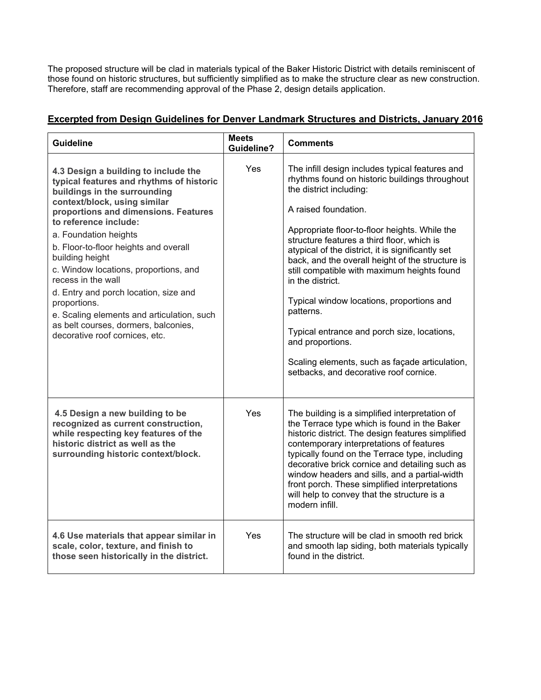The proposed structure will be clad in materials typical of the Baker Historic District with details reminiscent of those found on historic structures, but sufficiently simplified as to make the structure clear as new construction. Therefore, staff are recommending approval of the Phase 2, design details application.

## **Excerpted from Design Guidelines for Denver Landmark Structures and Districts, January 2016**

| <b>Guideline</b>                                                                                                                                                                                                                                                                                                                                                                                                                                                                                                                                       | <b>Meets</b><br><b>Guideline?</b> | <b>Comments</b>                                                                                                                                                                                                                                                                                                                                                                                                                                                                                                                                                                                                                                          |
|--------------------------------------------------------------------------------------------------------------------------------------------------------------------------------------------------------------------------------------------------------------------------------------------------------------------------------------------------------------------------------------------------------------------------------------------------------------------------------------------------------------------------------------------------------|-----------------------------------|----------------------------------------------------------------------------------------------------------------------------------------------------------------------------------------------------------------------------------------------------------------------------------------------------------------------------------------------------------------------------------------------------------------------------------------------------------------------------------------------------------------------------------------------------------------------------------------------------------------------------------------------------------|
| 4.3 Design a building to include the<br>typical features and rhythms of historic<br>buildings in the surrounding<br>context/block, using similar<br>proportions and dimensions. Features<br>to reference include:<br>a. Foundation heights<br>b. Floor-to-floor heights and overall<br>building height<br>c. Window locations, proportions, and<br>recess in the wall<br>d. Entry and porch location, size and<br>proportions.<br>e. Scaling elements and articulation, such<br>as belt courses, dormers, balconies,<br>decorative roof cornices, etc. | Yes                               | The infill design includes typical features and<br>rhythms found on historic buildings throughout<br>the district including:<br>A raised foundation.<br>Appropriate floor-to-floor heights. While the<br>structure features a third floor, which is<br>atypical of the district, it is significantly set<br>back, and the overall height of the structure is<br>still compatible with maximum heights found<br>in the district.<br>Typical window locations, proportions and<br>patterns.<br>Typical entrance and porch size, locations,<br>and proportions.<br>Scaling elements, such as façade articulation,<br>setbacks, and decorative roof cornice. |
| 4.5 Design a new building to be<br>recognized as current construction,<br>while respecting key features of the<br>historic district as well as the<br>surrounding historic context/block.                                                                                                                                                                                                                                                                                                                                                              | Yes                               | The building is a simplified interpretation of<br>the Terrace type which is found in the Baker<br>historic district. The design features simplified<br>contemporary interpretations of features<br>typically found on the Terrace type, including<br>decorative brick cornice and detailing such as<br>window headers and sills, and a partial-width<br>front porch. These simplified interpretations<br>will help to convey that the structure is a<br>modern infill.                                                                                                                                                                                   |
| 4.6 Use materials that appear similar in<br>scale, color, texture, and finish to<br>those seen historically in the district.                                                                                                                                                                                                                                                                                                                                                                                                                           | Yes                               | The structure will be clad in smooth red brick<br>and smooth lap siding, both materials typically<br>found in the district.                                                                                                                                                                                                                                                                                                                                                                                                                                                                                                                              |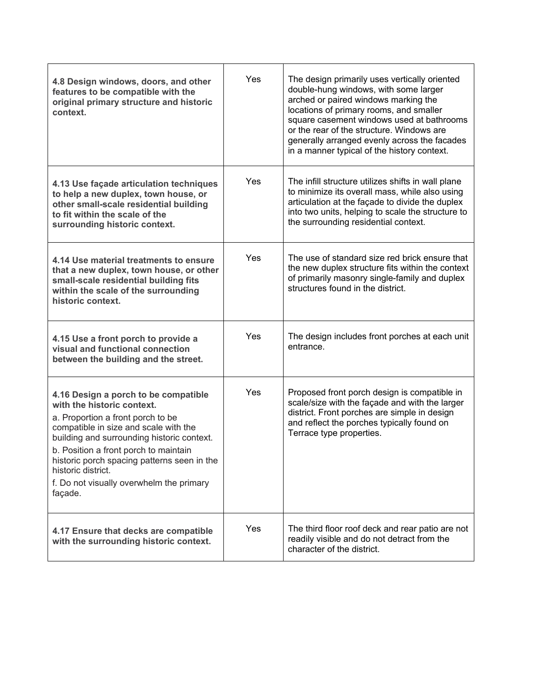| 4.8 Design windows, doors, and other<br>features to be compatible with the<br>original primary structure and historic<br>context.                                                                                                                                                                                                                                   | Yes | The design primarily uses vertically oriented<br>double-hung windows, with some larger<br>arched or paired windows marking the<br>locations of primary rooms, and smaller<br>square casement windows used at bathrooms<br>or the rear of the structure. Windows are<br>generally arranged evenly across the facades<br>in a manner typical of the history context. |
|---------------------------------------------------------------------------------------------------------------------------------------------------------------------------------------------------------------------------------------------------------------------------------------------------------------------------------------------------------------------|-----|--------------------------------------------------------------------------------------------------------------------------------------------------------------------------------------------------------------------------------------------------------------------------------------------------------------------------------------------------------------------|
| 4.13 Use façade articulation techniques<br>to help a new duplex, town house, or<br>other small-scale residential building<br>to fit within the scale of the<br>surrounding historic context.                                                                                                                                                                        | Yes | The infill structure utilizes shifts in wall plane<br>to minimize its overall mass, while also using<br>articulation at the façade to divide the duplex<br>into two units, helping to scale the structure to<br>the surrounding residential context.                                                                                                               |
| 4.14 Use material treatments to ensure<br>that a new duplex, town house, or other<br>small-scale residential building fits<br>within the scale of the surrounding<br>historic context.                                                                                                                                                                              | Yes | The use of standard size red brick ensure that<br>the new duplex structure fits within the context<br>of primarily masonry single-family and duplex<br>structures found in the district.                                                                                                                                                                           |
| 4.15 Use a front porch to provide a<br>visual and functional connection<br>between the building and the street.                                                                                                                                                                                                                                                     | Yes | The design includes front porches at each unit<br>entrance.                                                                                                                                                                                                                                                                                                        |
| 4.16 Design a porch to be compatible<br>with the historic context.<br>a. Proportion a front porch to be<br>compatible in size and scale with the<br>building and surrounding historic context.<br>b. Position a front porch to maintain<br>historic porch spacing patterns seen in the<br>historic district.<br>f. Do not visually overwhelm the primary<br>façade. | Yes | Proposed front porch design is compatible in<br>scale/size with the façade and with the larger<br>district. Front porches are simple in design<br>and reflect the porches typically found on<br>Terrace type properties.                                                                                                                                           |
| 4.17 Ensure that decks are compatible<br>with the surrounding historic context.                                                                                                                                                                                                                                                                                     | Yes | The third floor roof deck and rear patio are not<br>readily visible and do not detract from the<br>character of the district.                                                                                                                                                                                                                                      |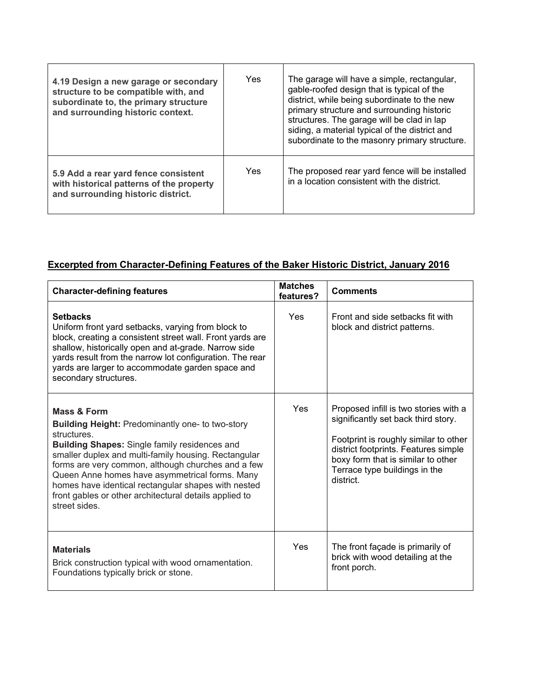| 4.19 Design a new garage or secondary<br>structure to be compatible with, and<br>subordinate to, the primary structure<br>and surrounding historic context. | Yes | The garage will have a simple, rectangular,<br>gable-roofed design that is typical of the<br>district, while being subordinate to the new<br>primary structure and surrounding historic<br>structures. The garage will be clad in lap<br>siding, a material typical of the district and<br>subordinate to the masonry primary structure. |
|-------------------------------------------------------------------------------------------------------------------------------------------------------------|-----|------------------------------------------------------------------------------------------------------------------------------------------------------------------------------------------------------------------------------------------------------------------------------------------------------------------------------------------|
| 5.9 Add a rear yard fence consistent<br>with historical patterns of the property<br>and surrounding historic district.                                      | Yes | The proposed rear yard fence will be installed<br>in a location consistent with the district.                                                                                                                                                                                                                                            |

# **Excerpted from Character-Defining Features of the Baker Historic District, January 2016**

| <b>Character-defining features</b>                                                                                                                                                                                                                                                                                                                                                                                                                         | <b>Matches</b><br>features? | <b>Comments</b>                                                                                                                                                                                                                                   |
|------------------------------------------------------------------------------------------------------------------------------------------------------------------------------------------------------------------------------------------------------------------------------------------------------------------------------------------------------------------------------------------------------------------------------------------------------------|-----------------------------|---------------------------------------------------------------------------------------------------------------------------------------------------------------------------------------------------------------------------------------------------|
| <b>Setbacks</b><br>Uniform front yard setbacks, varying from block to<br>block, creating a consistent street wall. Front yards are<br>shallow, historically open and at-grade. Narrow side<br>yards result from the narrow lot configuration. The rear<br>yards are larger to accommodate garden space and<br>secondary structures.                                                                                                                        | Yes                         | Front and side setbacks fit with<br>block and district patterns.                                                                                                                                                                                  |
| <b>Mass &amp; Form</b><br><b>Building Height: Predominantly one- to two-story</b><br>structures.<br><b>Building Shapes: Single family residences and</b><br>smaller duplex and multi-family housing. Rectangular<br>forms are very common, although churches and a few<br>Queen Anne homes have asymmetrical forms. Many<br>homes have identical rectangular shapes with nested<br>front gables or other architectural details applied to<br>street sides. | Yes                         | Proposed infill is two stories with a<br>significantly set back third story.<br>Footprint is roughly similar to other<br>district footprints. Features simple<br>boxy form that is similar to other<br>Terrace type buildings in the<br>district. |
| <b>Materials</b><br>Brick construction typical with wood ornamentation.<br>Foundations typically brick or stone.                                                                                                                                                                                                                                                                                                                                           | Yes                         | The front façade is primarily of<br>brick with wood detailing at the<br>front porch.                                                                                                                                                              |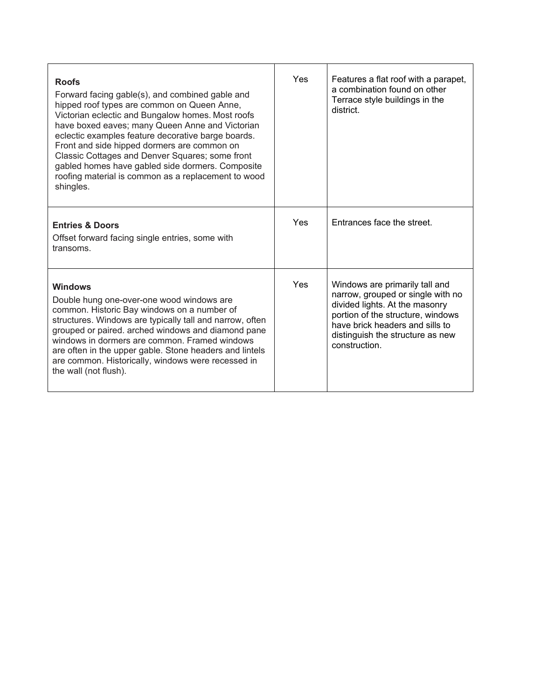| <b>Roofs</b><br>Forward facing gable(s), and combined gable and<br>hipped roof types are common on Queen Anne,<br>Victorian eclectic and Bungalow homes. Most roofs<br>have boxed eaves; many Queen Anne and Victorian<br>eclectic examples feature decorative barge boards.<br>Front and side hipped dormers are common on<br>Classic Cottages and Denver Squares; some front<br>gabled homes have gabled side dormers. Composite<br>roofing material is common as a replacement to wood<br>shingles. | Yes | Features a flat roof with a parapet,<br>a combination found on other<br>Terrace style buildings in the<br>district.                                                                                                               |
|--------------------------------------------------------------------------------------------------------------------------------------------------------------------------------------------------------------------------------------------------------------------------------------------------------------------------------------------------------------------------------------------------------------------------------------------------------------------------------------------------------|-----|-----------------------------------------------------------------------------------------------------------------------------------------------------------------------------------------------------------------------------------|
| <b>Entries &amp; Doors</b><br>Offset forward facing single entries, some with<br>transoms.                                                                                                                                                                                                                                                                                                                                                                                                             | Yes | Entrances face the street.                                                                                                                                                                                                        |
| <b>Windows</b><br>Double hung one-over-one wood windows are<br>common. Historic Bay windows on a number of<br>structures. Windows are typically tall and narrow, often<br>grouped or paired. arched windows and diamond pane<br>windows in dormers are common. Framed windows<br>are often in the upper gable. Stone headers and lintels<br>are common. Historically, windows were recessed in<br>the wall (not flush).                                                                                | Yes | Windows are primarily tall and<br>narrow, grouped or single with no<br>divided lights. At the masonry<br>portion of the structure, windows<br>have brick headers and sills to<br>distinguish the structure as new<br>construction |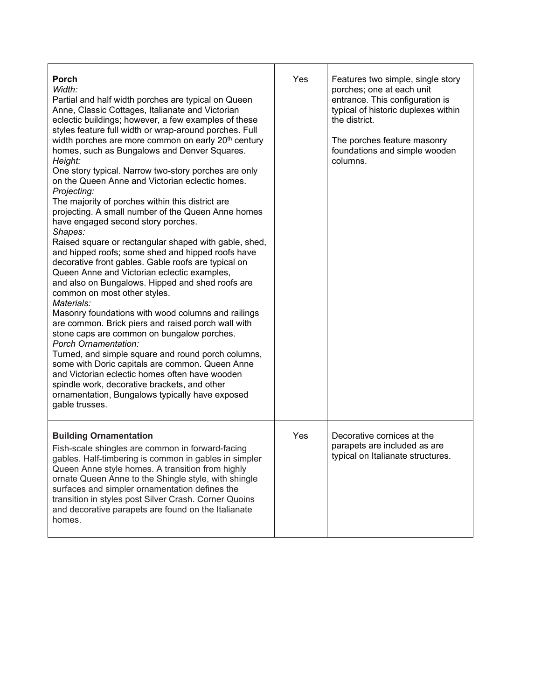| <b>Porch</b><br>Width:<br>Partial and half width porches are typical on Queen<br>Anne, Classic Cottages, Italianate and Victorian<br>eclectic buildings; however, a few examples of these<br>styles feature full width or wrap-around porches. Full<br>width porches are more common on early 20 <sup>th</sup> century<br>homes, such as Bungalows and Denver Squares.<br>Height:<br>One story typical. Narrow two-story porches are only<br>on the Queen Anne and Victorian eclectic homes.<br>Projecting:<br>The majority of porches within this district are<br>projecting. A small number of the Queen Anne homes<br>have engaged second story porches.<br>Shapes:<br>Raised square or rectangular shaped with gable, shed,<br>and hipped roofs; some shed and hipped roofs have<br>decorative front gables. Gable roofs are typical on<br>Queen Anne and Victorian eclectic examples,<br>and also on Bungalows. Hipped and shed roofs are<br>common on most other styles.<br>Materials:<br>Masonry foundations with wood columns and railings<br>are common. Brick piers and raised porch wall with<br>stone caps are common on bungalow porches.<br><b>Porch Ornamentation:</b><br>Turned, and simple square and round porch columns,<br>some with Doric capitals are common. Queen Anne<br>and Victorian eclectic homes often have wooden<br>spindle work, decorative brackets, and other<br>ornamentation, Bungalows typically have exposed<br>gable trusses. | Yes | Features two simple, single story<br>porches; one at each unit<br>entrance. This configuration is<br>typical of historic duplexes within<br>the district<br>The porches feature masonry<br>foundations and simple wooden<br>columns. |
|-----------------------------------------------------------------------------------------------------------------------------------------------------------------------------------------------------------------------------------------------------------------------------------------------------------------------------------------------------------------------------------------------------------------------------------------------------------------------------------------------------------------------------------------------------------------------------------------------------------------------------------------------------------------------------------------------------------------------------------------------------------------------------------------------------------------------------------------------------------------------------------------------------------------------------------------------------------------------------------------------------------------------------------------------------------------------------------------------------------------------------------------------------------------------------------------------------------------------------------------------------------------------------------------------------------------------------------------------------------------------------------------------------------------------------------------------------------------------|-----|--------------------------------------------------------------------------------------------------------------------------------------------------------------------------------------------------------------------------------------|
| <b>Building Ornamentation</b><br>Fish-scale shingles are common in forward-facing<br>gables. Half-timbering is common in gables in simpler<br>Queen Anne style homes. A transition from highly<br>ornate Queen Anne to the Shingle style, with shingle<br>surfaces and simpler ornamentation defines the<br>transition in styles post Silver Crash. Corner Quoins<br>and decorative parapets are found on the Italianate<br>homes.                                                                                                                                                                                                                                                                                                                                                                                                                                                                                                                                                                                                                                                                                                                                                                                                                                                                                                                                                                                                                                    | Yes | Decorative cornices at the<br>parapets are included as are<br>typical on Italianate structures.                                                                                                                                      |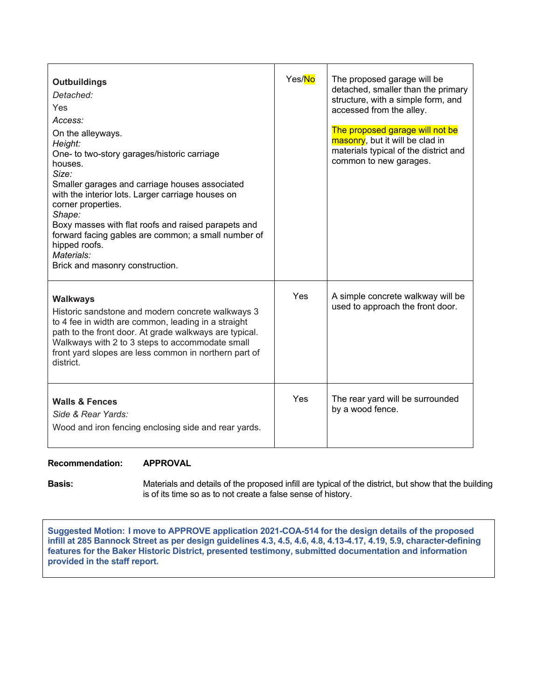| <b>Outbuildings</b><br>Detached:<br>Yes<br>Access:<br>On the alleyways.<br>Height:<br>One- to two-story garages/historic carriage<br>houses.<br>Size:<br>Smaller garages and carriage houses associated<br>with the interior lots. Larger carriage houses on<br>corner properties.<br>Shape:<br>Boxy masses with flat roofs and raised parapets and<br>forward facing gables are common; a small number of<br>hipped roofs.<br>Materials:<br>Brick and masonry construction. | Yes/No | The proposed garage will be<br>detached, smaller than the primary<br>structure, with a simple form, and<br>accessed from the alley.<br>The proposed garage will not be<br>masonry, but it will be clad in<br>materials typical of the district and<br>common to new garages. |
|------------------------------------------------------------------------------------------------------------------------------------------------------------------------------------------------------------------------------------------------------------------------------------------------------------------------------------------------------------------------------------------------------------------------------------------------------------------------------|--------|------------------------------------------------------------------------------------------------------------------------------------------------------------------------------------------------------------------------------------------------------------------------------|
| <b>Walkways</b><br>Historic sandstone and modern concrete walkways 3<br>to 4 fee in width are common, leading in a straight<br>path to the front door. At grade walkways are typical.<br>Walkways with 2 to 3 steps to accommodate small<br>front yard slopes are less common in northern part of<br>district.                                                                                                                                                               | Yes    | A simple concrete walkway will be<br>used to approach the front door.                                                                                                                                                                                                        |
| <b>Walls &amp; Fences</b><br>Side & Rear Yards:<br>Wood and iron fencing enclosing side and rear yards.                                                                                                                                                                                                                                                                                                                                                                      | Yes    | The rear yard will be surrounded<br>by a wood fence.                                                                                                                                                                                                                         |

### **Recommendation: APPROVAL**

**Basis:** Materials and details of the proposed infill are typical of the district, but show that the building is of its time so as to not create a false sense of history.

**Suggested Motion: I move to APPROVE application 2021-COA-514 for the design details of the proposed infill at 285 Bannock Street as per design guidelines 4.3, 4.5, 4.6, 4.8, 4.13-4.17, 4.19, 5.9, character-defining features for the Baker Historic District, presented testimony, submitted documentation and information provided in the staff report.**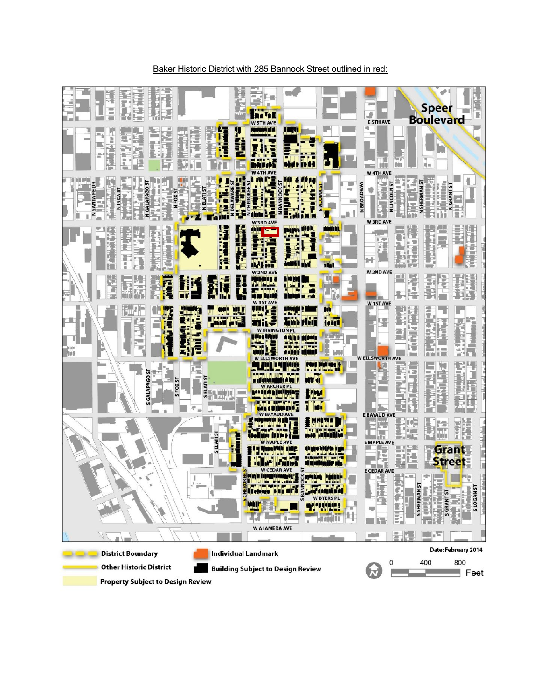

#### Baker Historic District with 285 Bannock Street outlined in red: